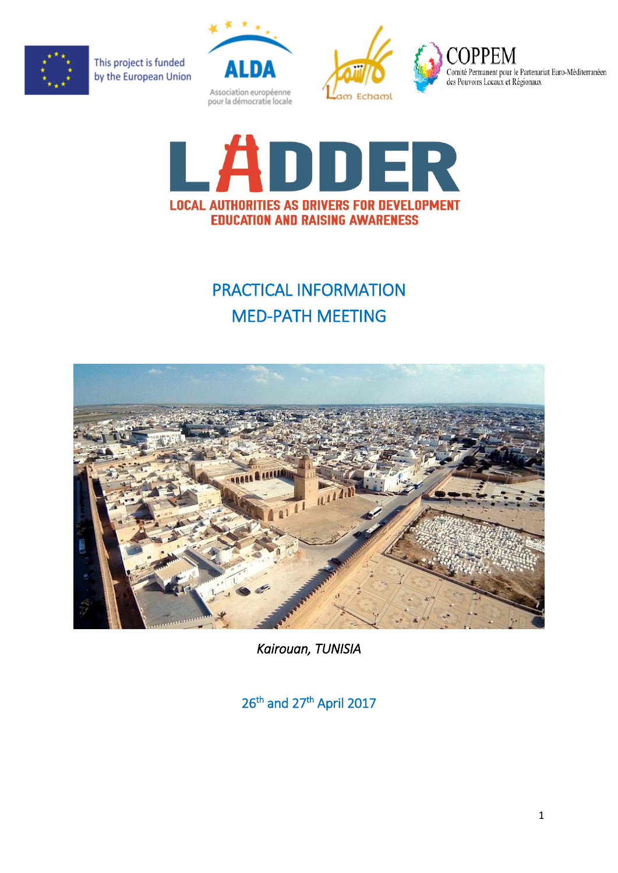





**COPI** Comité Permanent pour le Partenariat Euro-Méditerranéen des Pouvoirs Locaux et Régionaux



# PRACTICAL INFORMATION MED-PATH MEETING



*Kairouan, TUNISIA* 

26<sup>th</sup> and 27<sup>th</sup> April 2017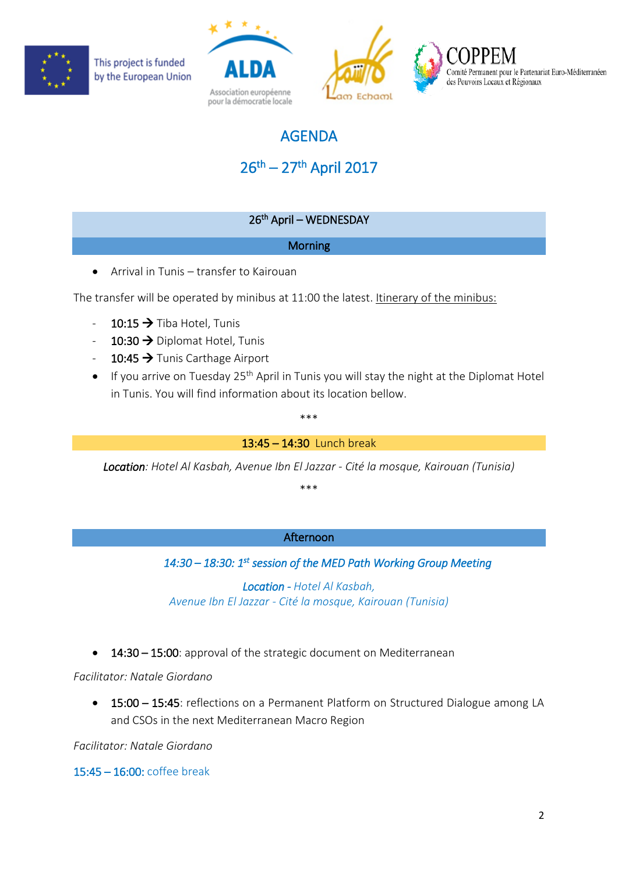





Comité Permanent pour le Partenariat Euro-Méditerranéen des Pouvoirs Locaux et Régionaux

## AGENDA

## 26<sup>th</sup> – 27<sup>th</sup> April 2017

## 26th April – WEDNESDAY

## **Morning**

• Arrival in Tunis – transfer to Kairouan

The transfer will be operated by minibus at 11:00 the latest. Itinerary of the minibus:

- $-10:15 \rightarrow$  Tiba Hotel, Tunis
- 10:30  $\rightarrow$  Diplomat Hotel, Tunis
- $-10:45 \rightarrow$  Tunis Carthage Airport
- If you arrive on Tuesday 25<sup>th</sup> April in Tunis you will stay the night at the Diplomat Hotel in Tunis. You will find information about its location bellow.

#### \*\*\*

13:45 – 14:30 Lunch break

*Location: Hotel Al Kasbah, Avenue Ibn El Jazzar - Cité la mosque, Kairouan (Tunisia)*

\*\*\*

## Afternoon

## *14:30 – 18:30: 1st session of the MED Path Working Group Meeting*

*Location - Hotel Al Kasbah, Avenue Ibn El Jazzar - Cité la mosque, Kairouan (Tunisia)*

• 14:30 – 15:00: approval of the strategic document on Mediterranean

*Facilitator: Natale Giordano*

• 15:00 – 15:45: reflections on a Permanent Platform on Structured Dialogue among LA and CSOs in the next Mediterranean Macro Region

*Facilitator: Natale Giordano*

15:45 – 16:00: coffee break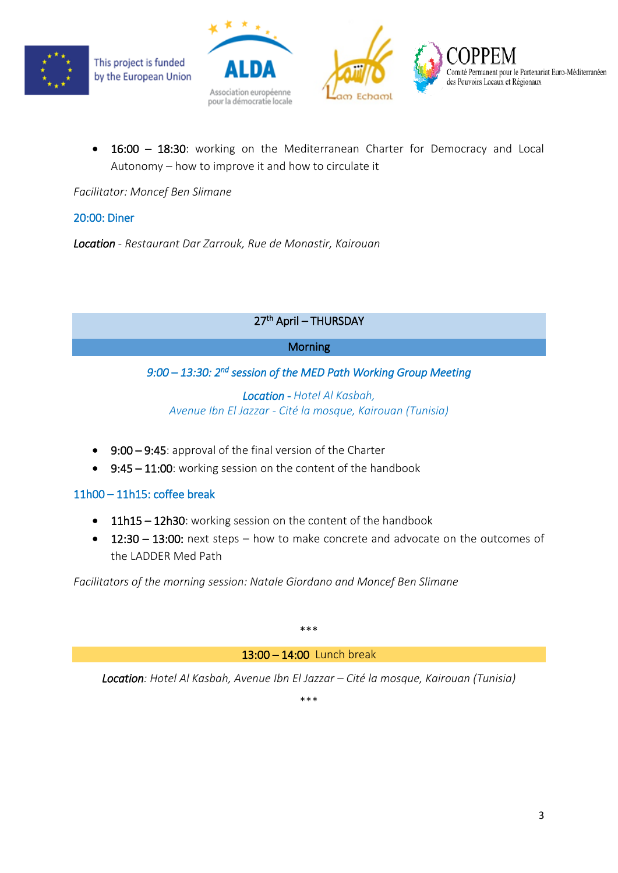





• 16:00 – 18:30: working on the Mediterranean Charter for Democracy and Local Autonomy – how to improve it and how to circulate it

*Facilitator: Moncef Ben Slimane*

#### 20:00: Diner

*Location - Restaurant Dar Zarrouk, Rue de Monastir, Kairouan*

## 27th April – THURSDAY

#### **Morning**

## *9:00 – 13:30: 2nd session of the MED Path Working Group Meeting*

*Location - Hotel Al Kasbah, Avenue Ibn El Jazzar - Cité la mosque, Kairouan (Tunisia)*

- 9:00 9:45: approval of the final version of the Charter
- 9:45 11:00: working session on the content of the handbook

## 11h00 – 11h15: coffee break

- 11h15 12h30: working session on the content of the handbook
- 12:30 13:00: next steps how to make concrete and advocate on the outcomes of the LADDER Med Path

*Facilitators of the morning session: Natale Giordano and Moncef Ben Slimane*

\*\*\*

13:00 – 14:00 Lunch break

*Location: Hotel Al Kasbah, Avenue Ibn El Jazzar – Cité la mosque, Kairouan (Tunisia)*

\*\*\*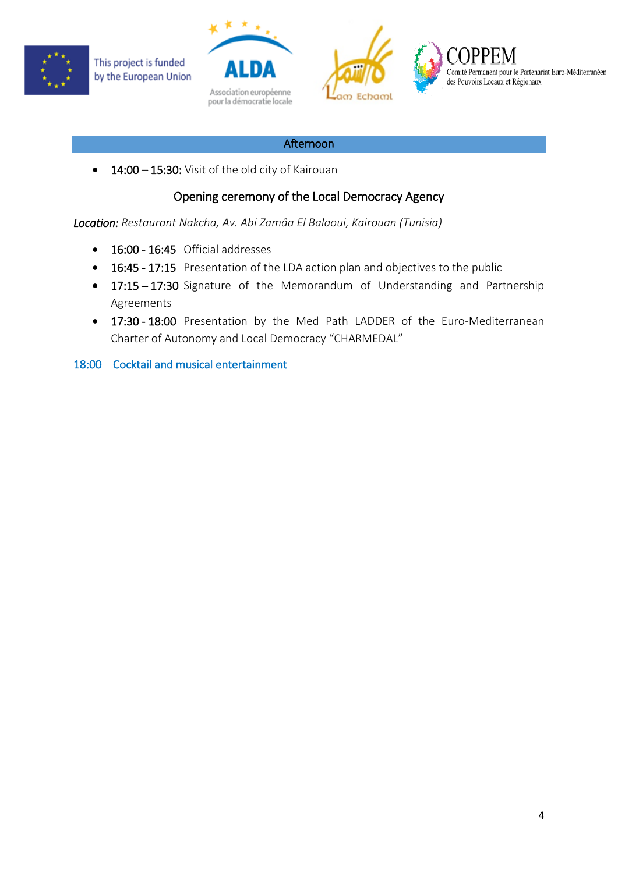





Comité Permanent pour le Partenariat Euro-Méditerranéen des Pouvoirs Locaux et Régionaux

#### Afternoon

• 14:00 – 15:30: Visit of the old city of Kairouan

## Opening ceremony of the Local Democracy Agency

*Location: Restaurant Nakcha, Av. Abi Zamâa El Balaoui, Kairouan (Tunisia)* 

- 16:00 16:45 Official addresses
- 16:45 17:15 Presentation of the LDA action plan and objectives to the public
- 17:15 17:30 Signature of the Memorandum of Understanding and Partnership Agreements
- 17:30 18:00 Presentation by the Med Path LADDER of the Euro-Mediterranean Charter of Autonomy and Local Democracy "CHARMEDAL"

18:00 Cocktail and musical entertainment